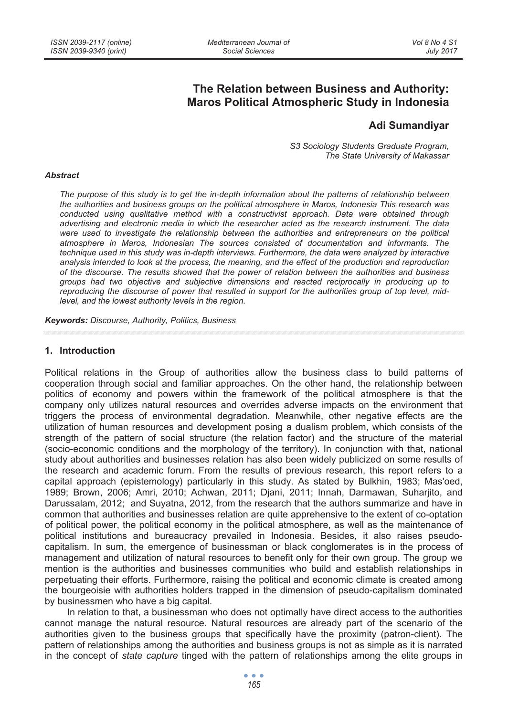# **The Relation between Business and Authority: Maros Political Atmospheric Study in Indonesia**

## **Adi Sumandiyar**

*S3 Sociology Students Graduate Program, The State University of Makassar* 

#### *Abstract*

The purpose of this study is to get the in-depth information about the patterns of relationship between *the authorities and business groups on the political atmosphere in Maros, Indonesia This research was conducted using qualitative method with a constructivist approach. Data were obtained through advertising and electronic media in which the researcher acted as the research instrument. The data were used to investigate the relationship between the authorities and entrepreneurs on the political atmosphere in Maros, Indonesian The sources consisted of documentation and informants. The technique used in this study was in-depth interviews. Furthermore, the data were analyzed by interactive analysis intended to look at the process, the meaning, and the effect of the production and reproduction of the discourse. The results showed that the power of relation between the authorities and business groups had two objective and subjective dimensions and reacted reciprocally in producing up to reproducing the discourse of power that resulted in support for the authorities group of top level, midlevel, and the lowest authority levels in the region.* 

*Keywords: Discourse, Authority, Politics, Business* 

#### **1. Introduction**

Political relations in the Group of authorities allow the business class to build patterns of cooperation through social and familiar approaches. On the other hand, the relationship between politics of economy and powers within the framework of the political atmosphere is that the company only utilizes natural resources and overrides adverse impacts on the environment that triggers the process of environmental degradation. Meanwhile, other negative effects are the utilization of human resources and development posing a dualism problem, which consists of the strength of the pattern of social structure (the relation factor) and the structure of the material (socio-economic conditions and the morphology of the territory). In conjunction with that, national study about authorities and businesses relation has also been widely publicized on some results of the research and academic forum. From the results of previous research, this report refers to a capital approach (epistemology) particularly in this study. As stated by Bulkhin, 1983; Mas'oed, 1989; Brown, 2006; Amri, 2010; Achwan, 2011; Djani, 2011; Innah, Darmawan, Suharjito, and Darussalam, 2012; and Suyatna, 2012, from the research that the authors summarize and have in common that authorities and businesses relation are quite apprehensive to the extent of co-optation of political power, the political economy in the political atmosphere, as well as the maintenance of political institutions and bureaucracy prevailed in Indonesia. Besides, it also raises pseudocapitalism. In sum, the emergence of businessman or black conglomerates is in the process of management and utilization of natural resources to benefit only for their own group. The group we mention is the authorities and businesses communities who build and establish relationships in perpetuating their efforts. Furthermore, raising the political and economic climate is created among the bourgeoisie with authorities holders trapped in the dimension of pseudo-capitalism dominated by businessmen who have a big capital.

In relation to that, a businessman who does not optimally have direct access to the authorities cannot manage the natural resource. Natural resources are already part of the scenario of the authorities given to the business groups that specifically have the proximity (patron-client). The pattern of relationships among the authorities and business groups is not as simple as it is narrated in the concept of *state capture* tinged with the pattern of relationships among the elite groups in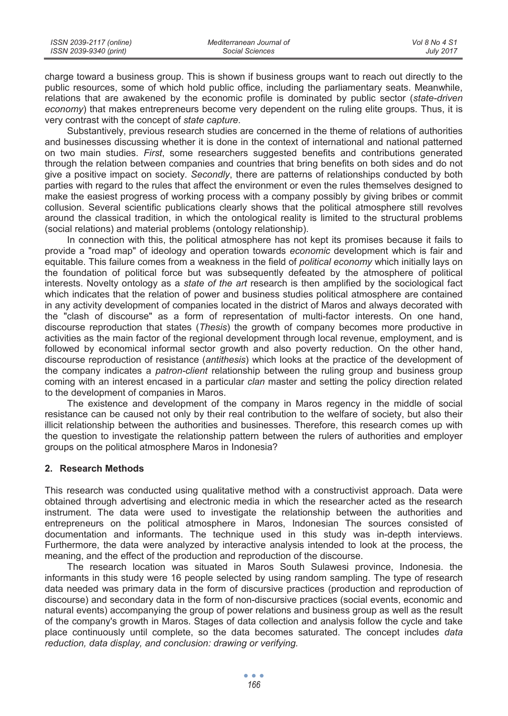| ISSN 2039-2117 (online) | Mediterranean Journal of | Vol 8 No 4 S1    |
|-------------------------|--------------------------|------------------|
| ISSN 2039-9340 (print)  | Social Sciences          | <b>July 2017</b> |

charge toward a business group. This is shown if business groups want to reach out directly to the public resources, some of which hold public office, including the parliamentary seats. Meanwhile, relations that are awakened by the economic profile is dominated by public sector (*state-driven economy*) that makes entrepreneurs become very dependent on the ruling elite groups. Thus, it is very contrast with the concept of *state capture*.

Substantively, previous research studies are concerned in the theme of relations of authorities and businesses discussing whether it is done in the context of international and national patterned on two main studies. *First*, some researchers suggested benefits and contributions generated through the relation between companies and countries that bring benefits on both sides and do not give a positive impact on society. *Secondly*, there are patterns of relationships conducted by both parties with regard to the rules that affect the environment or even the rules themselves designed to make the easiest progress of working process with a company possibly by giving bribes or commit collusion. Several scientific publications clearly shows that the political atmosphere still revolves around the classical tradition, in which the ontological reality is limited to the structural problems (social relations) and material problems (ontology relationship).

In connection with this, the political atmosphere has not kept its promises because it fails to provide a "road map" of ideology and operation towards *economic* development which is fair and equitable. This failure comes from a weakness in the field of *political economy* which initially lays on the foundation of political force but was subsequently defeated by the atmosphere of political interests. Novelty ontology as a *state of the art* research is then amplified by the sociological fact which indicates that the relation of power and business studies political atmosphere are contained in any activity development of companies located in the district of Maros and always decorated with the "clash of discourse" as a form of representation of multi-factor interests. On one hand, discourse reproduction that states (*Thesis*) the growth of company becomes more productive in activities as the main factor of the regional development through local revenue, employment, and is followed by economical informal sector growth and also poverty reduction. On the other hand, discourse reproduction of resistance (*antithesis*) which looks at the practice of the development of the company indicates a *patron-client* relationship between the ruling group and business group coming with an interest encased in a particular *clan* master and setting the policy direction related to the development of companies in Maros.

The existence and development of the company in Maros regency in the middle of social resistance can be caused not only by their real contribution to the welfare of society, but also their illicit relationship between the authorities and businesses. Therefore, this research comes up with the question to investigate the relationship pattern between the rulers of authorities and employer groups on the political atmosphere Maros in Indonesia?

## **2. Research Methods**

This research was conducted using qualitative method with a constructivist approach. Data were obtained through advertising and electronic media in which the researcher acted as the research instrument. The data were used to investigate the relationship between the authorities and entrepreneurs on the political atmosphere in Maros, Indonesian The sources consisted of documentation and informants. The technique used in this study was in-depth interviews. Furthermore, the data were analyzed by interactive analysis intended to look at the process, the meaning, and the effect of the production and reproduction of the discourse.

The research location was situated in Maros South Sulawesi province, Indonesia. the informants in this study were 16 people selected by using random sampling. The type of research data needed was primary data in the form of discursive practices (production and reproduction of discourse) and secondary data in the form of non-discursive practices (social events, economic and natural events) accompanying the group of power relations and business group as well as the result of the company's growth in Maros. Stages of data collection and analysis follow the cycle and take place continuously until complete, so the data becomes saturated. The concept includes *data reduction, data display, and conclusion: drawing or verifying.*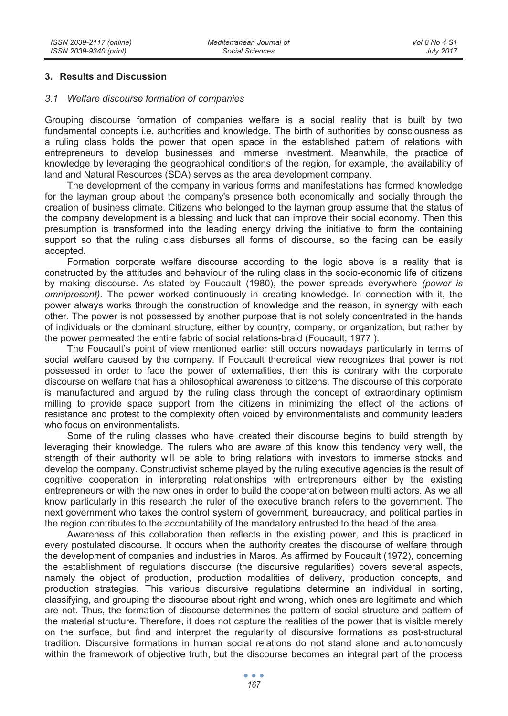### **3. Results and Discussion**

#### *3.1 Welfare discourse formation of companies*

Grouping discourse formation of companies welfare is a social reality that is built by two fundamental concepts i.e. authorities and knowledge. The birth of authorities by consciousness as a ruling class holds the power that open space in the established pattern of relations with entrepreneurs to develop businesses and immerse investment. Meanwhile, the practice of knowledge by leveraging the geographical conditions of the region, for example, the availability of land and Natural Resources (SDA) serves as the area development company.

The development of the company in various forms and manifestations has formed knowledge for the layman group about the company's presence both economically and socially through the creation of business climate. Citizens who belonged to the layman group assume that the status of the company development is a blessing and luck that can improve their social economy. Then this presumption is transformed into the leading energy driving the initiative to form the containing support so that the ruling class disburses all forms of discourse, so the facing can be easily accepted.

Formation corporate welfare discourse according to the logic above is a reality that is constructed by the attitudes and behaviour of the ruling class in the socio-economic life of citizens by making discourse. As stated by Foucault (1980), the power spreads everywhere *(power is omnipresent).* The power worked continuously in creating knowledge. In connection with it, the power always works through the construction of knowledge and the reason, in synergy with each other. The power is not possessed by another purpose that is not solely concentrated in the hands of individuals or the dominant structure, either by country, company, or organization, but rather by the power permeated the entire fabric of social relations-braid (Foucault, 1977 ).

The Foucault's point of view mentioned earlier still occurs nowadays particularly in terms of social welfare caused by the company. If Foucault theoretical view recognizes that power is not possessed in order to face the power of externalities, then this is contrary with the corporate discourse on welfare that has a philosophical awareness to citizens. The discourse of this corporate is manufactured and argued by the ruling class through the concept of extraordinary optimism milling to provide space support from the citizens in minimizing the effect of the actions of resistance and protest to the complexity often voiced by environmentalists and community leaders who focus on environmentalists.

Some of the ruling classes who have created their discourse begins to build strength by leveraging their knowledge. The rulers who are aware of this know this tendency very well, the strength of their authority will be able to bring relations with investors to immerse stocks and develop the company. Constructivist scheme played by the ruling executive agencies is the result of cognitive cooperation in interpreting relationships with entrepreneurs either by the existing entrepreneurs or with the new ones in order to build the cooperation between multi actors. As we all know particularly in this research the ruler of the executive branch refers to the government. The next government who takes the control system of government, bureaucracy, and political parties in the region contributes to the accountability of the mandatory entrusted to the head of the area.

Awareness of this collaboration then reflects in the existing power, and this is practiced in every postulated discourse. It occurs when the authority creates the discourse of welfare through the development of companies and industries in Maros. As affirmed by Foucault (1972), concerning the establishment of regulations discourse (the discursive regularities) covers several aspects, namely the object of production, production modalities of delivery, production concepts, and production strategies. This various discursive regulations determine an individual in sorting, classifying, and grouping the discourse about right and wrong, which ones are legitimate and which are not. Thus, the formation of discourse determines the pattern of social structure and pattern of the material structure. Therefore, it does not capture the realities of the power that is visible merely on the surface, but find and interpret the regularity of discursive formations as post-structural tradition. Discursive formations in human social relations do not stand alone and autonomously within the framework of objective truth, but the discourse becomes an integral part of the process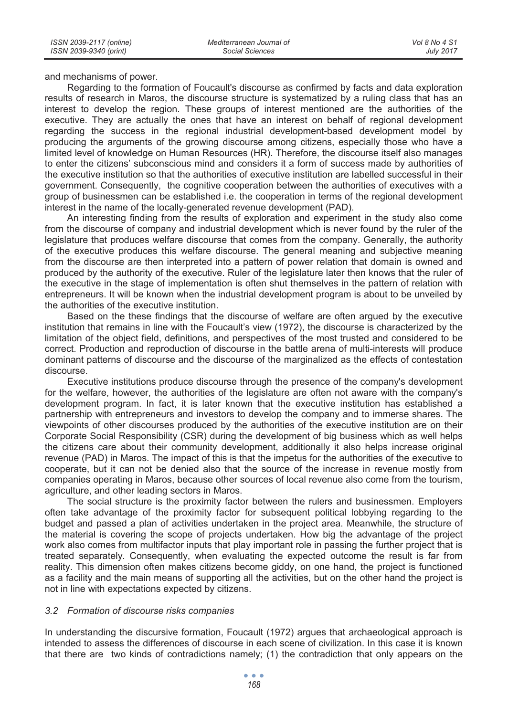and mechanisms of power.

Regarding to the formation of Foucault's discourse as confirmed by facts and data exploration results of research in Maros, the discourse structure is systematized by a ruling class that has an interest to develop the region. These groups of interest mentioned are the authorities of the executive. They are actually the ones that have an interest on behalf of regional development regarding the success in the regional industrial development-based development model by producing the arguments of the growing discourse among citizens, especially those who have a limited level of knowledge on Human Resources (HR). Therefore, the discourse itself also manages to enter the citizens' subconscious mind and considers it a form of success made by authorities of the executive institution so that the authorities of executive institution are labelled successful in their government. Consequently, the cognitive cooperation between the authorities of executives with a group of businessmen can be established i.e. the cooperation in terms of the regional development interest in the name of the locally-generated revenue development (PAD).

An interesting finding from the results of exploration and experiment in the study also come from the discourse of company and industrial development which is never found by the ruler of the legislature that produces welfare discourse that comes from the company. Generally, the authority of the executive produces this welfare discourse. The general meaning and subjective meaning from the discourse are then interpreted into a pattern of power relation that domain is owned and produced by the authority of the executive. Ruler of the legislature later then knows that the ruler of the executive in the stage of implementation is often shut themselves in the pattern of relation with entrepreneurs. It will be known when the industrial development program is about to be unveiled by the authorities of the executive institution.

Based on the these findings that the discourse of welfare are often argued by the executive institution that remains in line with the Foucault's view (1972), the discourse is characterized by the limitation of the object field, definitions, and perspectives of the most trusted and considered to be correct. Production and reproduction of discourse in the battle arena of multi-interests will produce dominant patterns of discourse and the discourse of the marginalized as the effects of contestation discourse.

Executive institutions produce discourse through the presence of the company's development for the welfare, however, the authorities of the legislature are often not aware with the company's development program. In fact, it is later known that the executive institution has established a partnership with entrepreneurs and investors to develop the company and to immerse shares. The viewpoints of other discourses produced by the authorities of the executive institution are on their Corporate Social Responsibility (CSR) during the development of big business which as well helps the citizens care about their community development, additionally it also helps increase original revenue (PAD) in Maros. The impact of this is that the impetus for the authorities of the executive to cooperate, but it can not be denied also that the source of the increase in revenue mostly from companies operating in Maros, because other sources of local revenue also come from the tourism, agriculture, and other leading sectors in Maros.

The social structure is the proximity factor between the rulers and businessmen. Employers often take advantage of the proximity factor for subsequent political lobbying regarding to the budget and passed a plan of activities undertaken in the project area. Meanwhile, the structure of the material is covering the scope of projects undertaken. How big the advantage of the project work also comes from multifactor inputs that play important role in passing the further project that is treated separately. Consequently, when evaluating the expected outcome the result is far from reality. This dimension often makes citizens become giddy, on one hand, the project is functioned as a facility and the main means of supporting all the activities, but on the other hand the project is not in line with expectations expected by citizens.

## *3.2 Formation of discourse risks companies*

In understanding the discursive formation, Foucault (1972) argues that archaeological approach is intended to assess the differences of discourse in each scene of civilization. In this case it is known that there are two kinds of contradictions namely; (1) the contradiction that only appears on the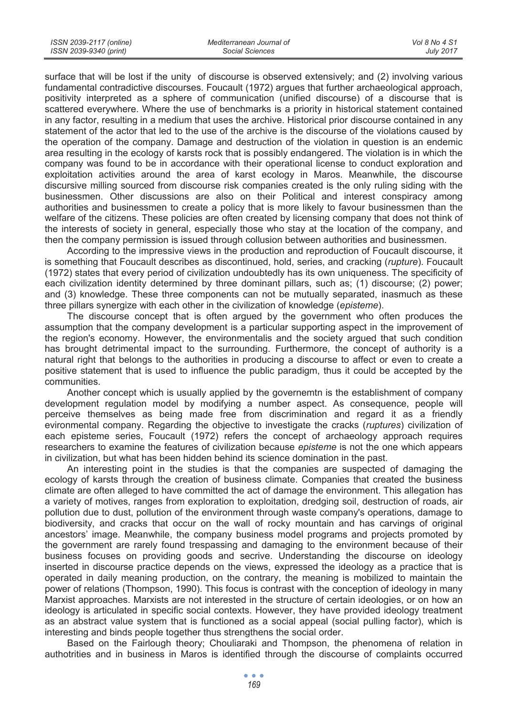surface that will be lost if the unity of discourse is observed extensively; and (2) involving various fundamental contradictive discourses. Foucault (1972) argues that further archaeological approach, positivity interpreted as a sphere of communication (unified discourse) of a discourse that is scattered everywhere. Where the use of benchmarks is a priority in historical statement contained in any factor, resulting in a medium that uses the archive. Historical prior discourse contained in any statement of the actor that led to the use of the archive is the discourse of the violations caused by the operation of the company. Damage and destruction of the violation in question is an endemic area resulting in the ecology of karsts rock that is possibly endangered. The violation is in which the company was found to be in accordance with their operational license to conduct exploration and exploitation activities around the area of karst ecology in Maros. Meanwhile, the discourse discursive milling sourced from discourse risk companies created is the only ruling siding with the businessmen. Other discussions are also on their Political and interest conspiracy among authorities and businessmen to create a policy that is more likely to favour businessmen than the welfare of the citizens. These policies are often created by licensing company that does not think of the interests of society in general, especially those who stay at the location of the company, and then the company permission is issued through collusion between authorities and businessmen.

According to the impressive views in the production and reproduction of Foucault discourse, it is something that Foucault describes as discontinued, hold, series, and cracking (*rupture*). Foucault (1972) states that every period of civilization undoubtedly has its own uniqueness. The specificity of each civilization identity determined by three dominant pillars, such as; (1) discourse; (2) power; and (3) knowledge. These three components can not be mutually separated, inasmuch as these three pillars synergize with each other in the civilization of knowledge (*episteme*).

The discourse concept that is often argued by the government who often produces the assumption that the company development is a particular supporting aspect in the improvement of the region's economy. However, the environmentalis and the society argued that such condition has brought detrimental impact to the surrounding. Furthermore, the concept of authority is a natural right that belongs to the authorities in producing a discourse to affect or even to create a positive statement that is used to influence the public paradigm, thus it could be accepted by the communities.

Another concept which is usually applied by the governemtn is the establishment of company development regulation model by modifying a number aspect. As consequence, people will perceive themselves as being made free from discrimination and regard it as a friendly evironmental company. Regarding the objective to investigate the cracks (*ruptures*) civilization of each episteme series, Foucault (1972) refers the concept of archaeology approach requires researchers to examine the features of civilization because *episteme* is not the one which appears in civilization, but what has been hidden behind its science domination in the past.

An interesting point in the studies is that the companies are suspected of damaging the ecology of karsts through the creation of business climate. Companies that created the business climate are often alleged to have committed the act of damage the environment. This allegation has a variety of motives, ranges from exploration to exploitation, dredging soil, destruction of roads, air pollution due to dust, pollution of the environment through waste company's operations, damage to biodiversity, and cracks that occur on the wall of rocky mountain and has carvings of original ancestors' image. Meanwhile, the company business model programs and projects promoted by the government are rarely found trespassing and damaging to the environment because of their business focuses on providing goods and secrive. Understanding the discourse on ideology inserted in discourse practice depends on the views, expressed the ideology as a practice that is operated in daily meaning production, on the contrary, the meaning is mobilized to maintain the power of relations (Thompson, 1990). This focus is contrast with the conception of ideology in many Marxist approaches. Marxists are not interested in the structure of certain ideologies, or on how an ideology is articulated in specific social contexts. However, they have provided ideology treatment as an abstract value system that is functioned as a social appeal (social pulling factor), which is interesting and binds people together thus strengthens the social order.

Based on the Fairlough theory; Chouliaraki and Thompson, the phenomena of relation in authotrities and in business in Maros is identified through the discourse of complaints occurred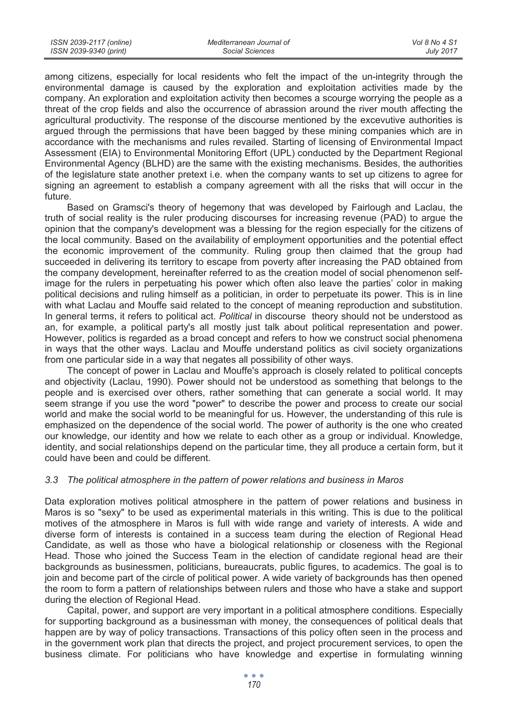*Vol 8 No 4 S1 July 2017*

among citizens, especially for local residents who felt the impact of the un-integrity through the environmental damage is caused by the exploration and exploitation activities made by the company. An exploration and exploitation activity then becomes a scourge worrying the people as a threat of the crop fields and also the occurrence of abrassion around the river mouth affecting the agricultural productivity. The response of the discourse mentioned by the excevutive authorities is argued through the permissions that have been bagged by these mining companies which are in accordance with the mechanisms and rules revailed. Starting of licensing of Environmental Impact Assessment (EIA) to Environmental Monitoring Effort (UPL) conducted by the Department Regional Environmental Agency (BLHD) are the same with the existing mechanisms. Besides, the authorities of the legislature state another pretext i.e. when the company wants to set up citizens to agree for signing an agreement to establish a company agreement with all the risks that will occur in the future.

Based on Gramsci's theory of hegemony that was developed by Fairlough and Laclau, the truth of social reality is the ruler producing discourses for increasing revenue (PAD) to argue the opinion that the company's development was a blessing for the region especially for the citizens of the local community. Based on the availability of employment opportunities and the potential effect the economic improvement of the community. Ruling group then claimed that the group had succeeded in delivering its territory to escape from poverty after increasing the PAD obtained from the company development, hereinafter referred to as the creation model of social phenomenon selfimage for the rulers in perpetuating his power which often also leave the parties' color in making political decisions and ruling himself as a politician, in order to perpetuate its power. This is in line with what Laclau and Mouffe said related to the concept of meaning reproduction and substitution. In general terms, it refers to political act. *Political* in discourse theory should not be understood as an, for example, a political party's all mostly just talk about political representation and power. However, politics is regarded as a broad concept and refers to how we construct social phenomena in ways that the other ways. Laclau and Mouffe understand politics as civil society organizations from one particular side in a way that negates all possibility of other ways.

The concept of power in Laclau and Mouffe's approach is closely related to political concepts and objectivity (Laclau, 1990). Power should not be understood as something that belongs to the people and is exercised over others, rather something that can generate a social world. It may seem strange if you use the word "power" to describe the power and process to create our social world and make the social world to be meaningful for us. However, the understanding of this rule is emphasized on the dependence of the social world. The power of authority is the one who created our knowledge, our identity and how we relate to each other as a group or individual. Knowledge, identity, and social relationships depend on the particular time, they all produce a certain form, but it could have been and could be different.

## *3.3 The political atmosphere in the pattern of power relations and business in Maros*

Data exploration motives political atmosphere in the pattern of power relations and business in Maros is so "sexy" to be used as experimental materials in this writing. This is due to the political motives of the atmosphere in Maros is full with wide range and variety of interests. A wide and diverse form of interests is contained in a success team during the election of Regional Head Candidate, as well as those who have a biological relationship or closeness with the Regional Head. Those who joined the Success Team in the election of candidate regional head are their backgrounds as businessmen, politicians, bureaucrats, public figures, to academics. The goal is to join and become part of the circle of political power. A wide variety of backgrounds has then opened the room to form a pattern of relationships between rulers and those who have a stake and support during the election of Regional Head.

Capital, power, and support are very important in a political atmosphere conditions. Especially for supporting background as a businessman with money, the consequences of political deals that happen are by way of policy transactions. Transactions of this policy often seen in the process and in the government work plan that directs the project, and project procurement services, to open the business climate. For politicians who have knowledge and expertise in formulating winning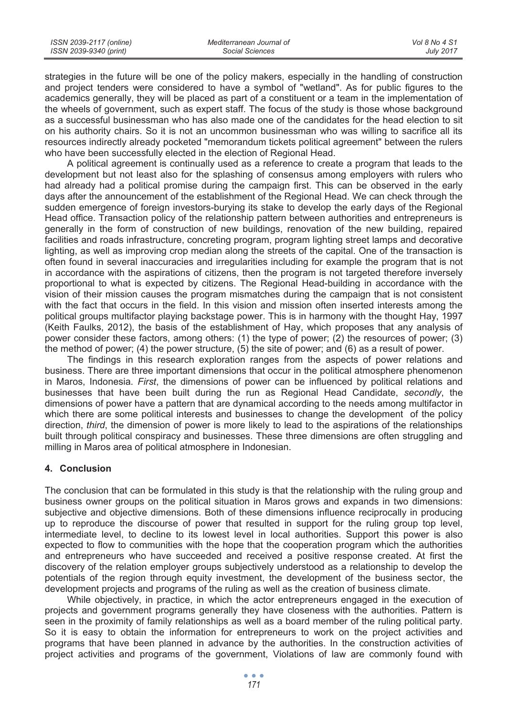strategies in the future will be one of the policy makers, especially in the handling of construction and project tenders were considered to have a symbol of "wetland". As for public figures to the academics generally, they will be placed as part of a constituent or a team in the implementation of the wheels of government, such as expert staff. The focus of the study is those whose background as a successful businessman who has also made one of the candidates for the head election to sit on his authority chairs. So it is not an uncommon businessman who was willing to sacrifice all its resources indirectly already pocketed "memorandum tickets political agreement" between the rulers who have been successfully elected in the election of Regional Head.

A political agreement is continually used as a reference to create a program that leads to the development but not least also for the splashing of consensus among employers with rulers who had already had a political promise during the campaign first. This can be observed in the early days after the announcement of the establishment of the Regional Head. We can check through the sudden emergence of foreign investors-burying its stake to develop the early days of the Regional Head office. Transaction policy of the relationship pattern between authorities and entrepreneurs is generally in the form of construction of new buildings, renovation of the new building, repaired facilities and roads infrastructure, concreting program, program lighting street lamps and decorative lighting, as well as improving crop median along the streets of the capital. One of the transaction is often found in several inaccuracies and irregularities including for example the program that is not in accordance with the aspirations of citizens, then the program is not targeted therefore inversely proportional to what is expected by citizens. The Regional Head-building in accordance with the vision of their mission causes the program mismatches during the campaign that is not consistent with the fact that occurs in the field. In this vision and mission often inserted interests among the political groups multifactor playing backstage power. This is in harmony with the thought Hay, 1997 (Keith Faulks, 2012), the basis of the establishment of Hay, which proposes that any analysis of power consider these factors, among others: (1) the type of power; (2) the resources of power; (3) the method of power; (4) the power structure, (5) the site of power; and (6) as a result of power.

The findings in this research exploration ranges from the aspects of power relations and business. There are three important dimensions that occur in the political atmosphere phenomenon in Maros, Indonesia. *First*, the dimensions of power can be influenced by political relations and businesses that have been built during the run as Regional Head Candidate, *secondly*, the dimensions of power have a pattern that are dynamical according to the needs among multifactor in which there are some political interests and businesses to change the development of the policy direction, *third*, the dimension of power is more likely to lead to the aspirations of the relationships built through political conspiracy and businesses. These three dimensions are often struggling and milling in Maros area of political atmosphere in Indonesian.

## **4. Conclusion**

The conclusion that can be formulated in this study is that the relationship with the ruling group and business owner groups on the political situation in Maros grows and expands in two dimensions: subjective and objective dimensions. Both of these dimensions influence reciprocally in producing up to reproduce the discourse of power that resulted in support for the ruling group top level, intermediate level, to decline to its lowest level in local authorities. Support this power is also expected to flow to communities with the hope that the cooperation program which the authorities and entrepreneurs who have succeeded and received a positive response created. At first the discovery of the relation employer groups subjectively understood as a relationship to develop the potentials of the region through equity investment, the development of the business sector, the development projects and programs of the ruling as well as the creation of business climate.

While objectively, in practice, in which the actor entrepreneurs engaged in the execution of projects and government programs generally they have closeness with the authorities. Pattern is seen in the proximity of family relationships as well as a board member of the ruling political party. So it is easy to obtain the information for entrepreneurs to work on the project activities and programs that have been planned in advance by the authorities. In the construction activities of project activities and programs of the government, Violations of law are commonly found with